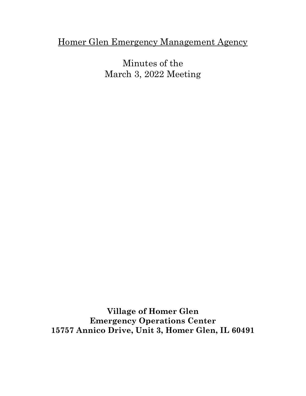## Homer Glen Emergency Management Agency

Minutes of the March 3, 2022 Meeting

**Village of Homer Glen Emergency Operations Center 15757 Annico Drive, Unit 3, Homer Glen, IL 60491**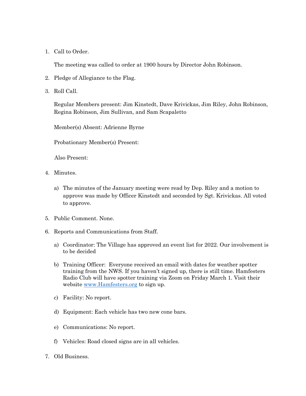1. Call to Order.

The meeting was called to order at 1900 hours by Director John Robinson.

- 2. Pledge of Allegiance to the Flag.
- 3. Roll Call.

Regular Members present: Jim Kinstedt, Dave Krivickas, Jim Riley, John Robinson, Regina Robinson, Jim Sullivan, and Sam Scapaletto

Member(s) Absent: Adrienne Byrne

Probationary Member(s) Present:

Also Present:

- 4. Minutes.
	- a) The minutes of the January meeting were read by Dep. Riley and a motion to approve was made by Officer Kinstedt and seconded by Sgt. Krivickas. All voted to approve.
- 5. Public Comment. None.
- 6. Reports and Communications from Staff.
	- a) Coordinator: The Village has approved an event list for 2022. Our involvement is to be decided
	- b) Training Officer: Everyone received an email with dates for weather spotter training from the NWS. If you haven't signed up, there is still time. Hamfesters Radio Club will have spotter training via Zoom on Friday March 1. Visit their website [www.Hamfesters.org](http://www.hamfesters.org/) to sign up.
	- c) Facility: No report.
	- d) Equipment: Each vehicle has two new cone bars.
	- e) Communications: No report.
	- f) Vehicles: Road closed signs are in all vehicles.
- 7. Old Business.